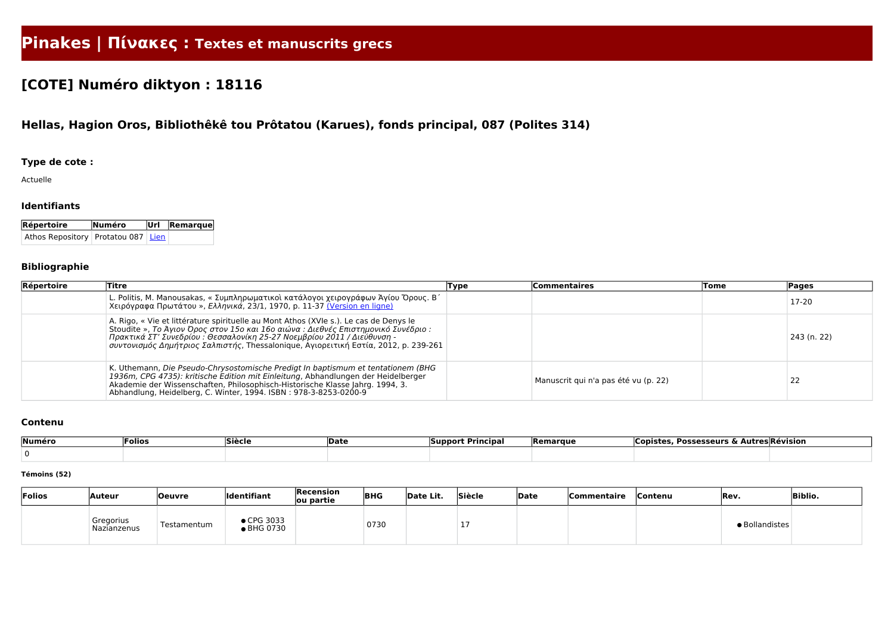# **Pinakes | Πίνακες : Textes et manuscrits grecs**

## **[COTE] Numéro diktyon : 18116**

### **Hellas, Hagion Oros, Bibliothêkê tou Prôtatou (Karues), fonds principal, 087 (Polites 314)**

#### **Type de cote :**

Actuelle

#### **Identifiants**

| Répertoire                                    | Numéro | $ $ Url $ $ Remarque $ $ |
|-----------------------------------------------|--------|--------------------------|
| Athos Repository   Protatou 087   <u>Lien</u> |        |                          |

#### **Bibliographie**

| Répertoire | Titre                                                                                                                                                                                                                                                                                                                                         | Type | Commentaires                         | Tome | <b>Pages</b> |
|------------|-----------------------------------------------------------------------------------------------------------------------------------------------------------------------------------------------------------------------------------------------------------------------------------------------------------------------------------------------|------|--------------------------------------|------|--------------|
|            | L. Politis, M. Manousakas, « Συμπληρωματικοί κατάλογοι χειρογράφων Άγίου Όρους. Β΄<br>Χειρόγραφα Πρωτάτου », Ελληνικά, 23/1, 1970, p. 11-37 (Version en ligne)                                                                                                                                                                                |      |                                      |      | 17-20        |
|            | A. Rigo, « Vie et littérature spirituelle au Mont Athos (XVIe s.). Le cas de Denys le<br>Stoudite », Το Άγιον Όρος στον 15ο και 16ο αιώνα : Διεθνές Επιστημονικό Συνέδριο :<br>Πρακτικά ΣΤ' Συνεδρίου : Θεσσαλονίκη 25-27 Νοεμβρίου 2011 / Διεύθυνση -<br>συντονισμός Δημήτριος Σαλπιστής, Thessalonique, Αγιορειτική Εστία, 2012, p. 239-261 |      |                                      |      | 243 (n. 22)  |
|            | K. Uthemann, Die Pseudo-Chrysostomische Predigt In baptismum et tentationem (BHG<br>1936m, CPG 4735): kritische Edition mit Einleitung, Abhandlungen der Heidelberger<br>Akademie der Wissenschaften, Philosophisch-Historische Klasse Jahrg. 1994, 3.<br>Abhandlung, Heidelberg, C. Winter, 1994. ISBN: 978-3-8253-0200-9                    |      | Manuscrit qui n'a pas été vu (p. 22) |      | 22           |

#### **Contenu**

| Numéro | 'Folios | <b>Siècle</b> | <b>Date</b> | * Principa <sub>)</sub><br><b>Support</b> | <b>Remarque</b> | , Possesseurs & Autres Révision<br>— ∟opi⊂* <sup>~</sup> |  |
|--------|---------|---------------|-------------|-------------------------------------------|-----------------|----------------------------------------------------------|--|
|        |         |               |             |                                           |                 |                                                          |  |

#### **Témoins (52)**

| Folios | <b>Auteur</b>            | <b>Oeuvre</b> | <b>Identifiant</b>          | Recension<br>ou partie | <b>BHG</b> | Date Lit. | Siècle | <b>Date</b> | <b>Commentaire</b> | <b>Contenu</b> | Rev.           | <b>Biblio.</b> |
|--------|--------------------------|---------------|-----------------------------|------------------------|------------|-----------|--------|-------------|--------------------|----------------|----------------|----------------|
|        | Gregorius<br>Nazianzenus | Testamentum   | CPG 3033<br><b>BHG 0730</b> |                        | 0730       |           |        |             |                    |                | · Bollandistes |                |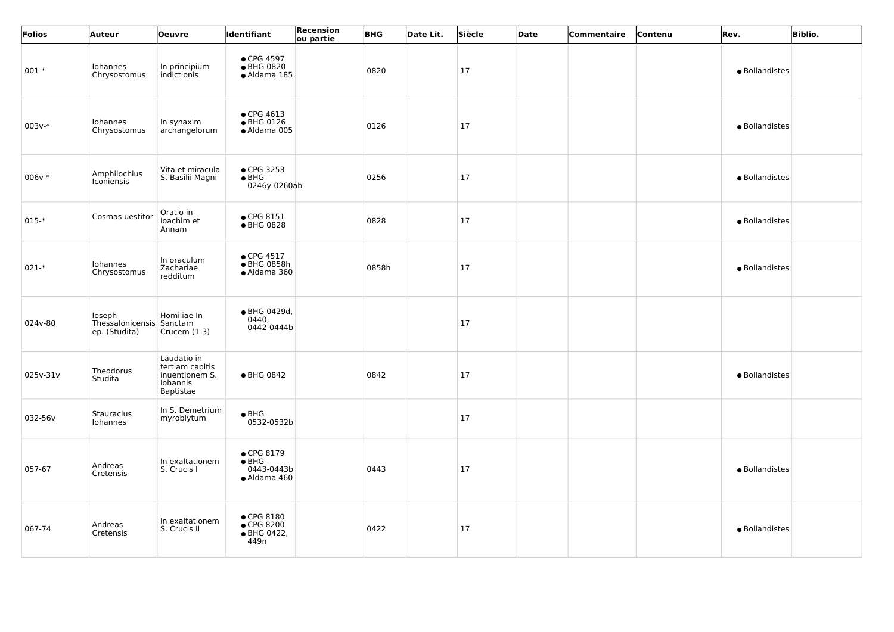| Folios    | <b>Auteur</b>                                       | <b>Oeuvre</b>                                                             | Identifiant                                                       | Recension<br>ou partie | <b>BHG</b> | Date Lit. | Siècle | Date | Commentaire | Contenu | Rev.           | <b>Biblio.</b> |
|-----------|-----------------------------------------------------|---------------------------------------------------------------------------|-------------------------------------------------------------------|------------------------|------------|-----------|--------|------|-------------|---------|----------------|----------------|
| $001 -$ * | Iohannes<br>Chrysostomus                            | In principium<br>indictionis                                              | • CPG 4597<br>● BHG 0820<br>$\bullet$ Aldama 185                  |                        | 0820       |           | 17     |      |             |         | · Bollandistes |                |
| $003v-*$  | Iohannes<br>Chrysostomus                            | In synaxim<br>archangelorum                                               | $\bullet$ CPG 4613<br>● BHG 0126<br>· Aldama 005                  |                        | 0126       |           | 17     |      |             |         | · Bollandistes |                |
| $006v-*$  | Amphilochius<br><b>Iconiensis</b>                   | Vita et miracula<br>S. Basilii Magni                                      | • CPG 3253<br>$\bullet$ BHG<br>0246y-0260ab                       |                        | 0256       |           | 17     |      |             |         | · Bollandistes |                |
| $015-*$   | Cosmas uestitor                                     | Oratio in<br>loachim et<br>Annam                                          | $\bullet$ CPG 8151<br>● BHG 0828                                  |                        | 0828       |           | 17     |      |             |         | · Bollandistes |                |
| $021-*$   | Iohannes<br>Chrysostomus                            | In oraculum<br>Zachariae<br>redditum                                      | • CPG 4517<br>● BHG 0858h<br>• Aldama 360                         |                        | 0858h      |           | 17     |      |             |         | · Bollandistes |                |
| 024v-80   | loseph<br>Thessalonicensis Sanctam<br>ep. (Studita) | Homiliae In<br>Crucem $(1-3)$                                             | ● BHG 0429d,<br>0440,<br>0442-0444b                               |                        |            |           | 17     |      |             |         |                |                |
| 025v-31v  | Theodorus<br>Studita                                | Laudatio in<br>tertiam capitis<br>inuentionem S.<br>Iohannis<br>Baptistae | ● BHG 0842                                                        |                        | 0842       |           | 17     |      |             |         | · Bollandistes |                |
| 032-56v   | Stauracius<br>Iohannes                              | In S. Demetrium<br>myroblytum                                             | $\bullet$ BHG<br>$0532 - 0532b$                                   |                        |            |           | 17     |      |             |         |                |                |
| 057-67    | Andreas<br>Cretensis                                | In exaltationem<br>S. Crucis I                                            | $\bullet$ CPG 8179<br>$\bullet$ BHG<br>0443-0443b<br>• Aldama 460 |                        | 0443       |           | 17     |      |             |         | · Bollandistes |                |
| 067-74    | Andreas<br>Cretensis                                | In exaltationem<br>S. Crucis II                                           | $\bullet$ CPG 8180<br>● CPG 8200<br>• BHG 0422,<br>449n           |                        | 0422       |           | 17     |      |             |         | · Bollandistes |                |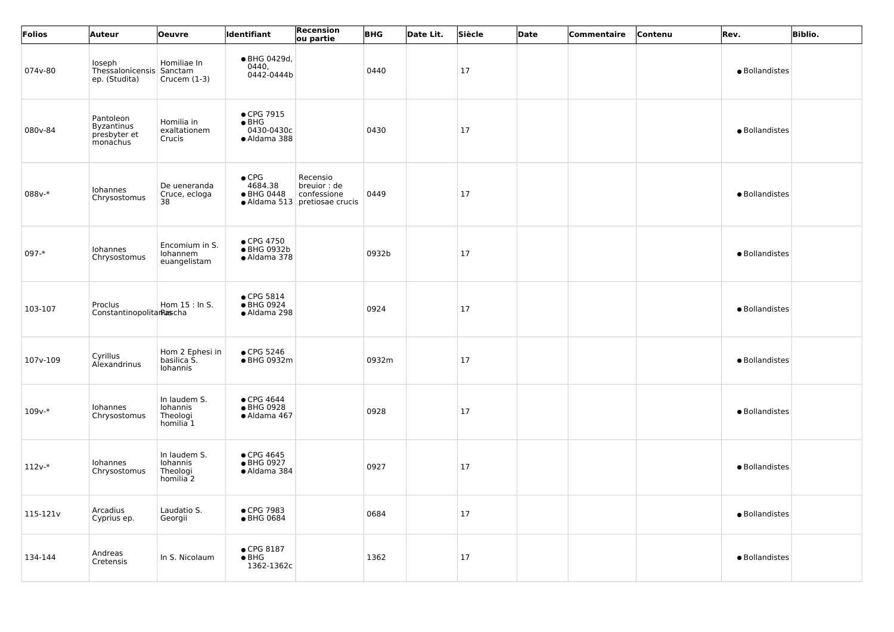| Folios     | <b>Auteur</b>                                              | Oeuvre                                                       | Identifiant                                               | Recension<br>ou partie                                                     | <b>BHG</b> | Date Lit. | Siècle    | Date | Commentaire | Contenu | Rev.           | <b>Biblio.</b> |
|------------|------------------------------------------------------------|--------------------------------------------------------------|-----------------------------------------------------------|----------------------------------------------------------------------------|------------|-----------|-----------|------|-------------|---------|----------------|----------------|
| 074v-80    | loseph<br>Thessalonicensis Sanctam<br>ep. (Studita)        | Homiliae In<br>Crucem $(1-3)$                                | ● BHG 0429d,<br>0440,<br>0442-0444b                       |                                                                            | 0440       |           | <b>17</b> |      |             |         | · Bollandistes |                |
| 080v-84    | Pantoleon<br><b>Byzantinus</b><br>presbyter et<br>monachus | Homilia in<br>exaltationem<br>Crucis                         | • CPG 7915<br>$\bullet$ BHG<br>0430-0430c<br>• Aldama 388 |                                                                            | 0430       |           | <b>17</b> |      |             |         | · Bollandistes |                |
| 088v-*     | Iohannes<br>Chrysostomus                                   | De ueneranda<br>Cruce, ecloga<br>38                          | $\bullet$ CPG<br>4684.38<br>● BHG 0448                    | Recensio<br>breuior : de<br>confessione<br>• Aldama 513   pretiosae crucis | 0449       |           | <b>17</b> |      |             |         | · Bollandistes |                |
| $097 - *$  | Iohannes<br>Chrysostomus                                   | Encomium in S.<br>Iohannem<br>euangelistam                   | $\bullet$ CPG 4750<br>● BHG 0932b<br>• Aldama 378         |                                                                            | 0932b      |           | 17        |      |             |         | · Bollandistes |                |
| 103-107    | Proclus<br>ConstantinopolitanRascha                        | Hom 15 : In S.                                               | $\bullet$ CPG 5814<br>● BHG 0924<br>• Aldama 298          |                                                                            | 0924       |           | 17        |      |             |         | · Bollandistes |                |
| $107v-109$ | Cyrillus<br>Alexandrinus                                   | Hom 2 Ephesi in<br>basilica S.<br>Iohannis                   | • CPG 5246<br>● BHG 0932m                                 |                                                                            | 0932m      |           | 17        |      |             |         | · Bollandistes |                |
| $109v-*$   | Iohannes<br>Chrysostomus                                   | In laudem S.<br>Iohannis<br>Theologi<br>homilia <sup>1</sup> | • CPG 4644<br>● BHG 0928<br>· Aldama 467                  |                                                                            | 0928       |           | 17        |      |             |         | · Bollandistes |                |
| $112v-*$   | Iohannes<br>Chrysostomus                                   | In laudem S.<br>Iohannis<br>Theologi<br>homilia <sub>2</sub> | • CPG 4645<br>● BHG 0927<br>• Aldama 384                  |                                                                            | 0927       |           | 17        |      |             |         | · Bollandistes |                |
| 115-121v   | Arcadius<br>Cyprius ep.                                    | Laudatio S.<br>Georgii                                       | • CPG 7983<br>● BHG 0684                                  |                                                                            | 0684       |           | 17        |      |             |         | · Bollandistes |                |
| 134-144    | Andreas<br>Cretensis                                       | In S. Nicolaum                                               | $\bullet$ CPG 8187<br>$\bullet$ BHG<br>1362-1362c         |                                                                            | 1362       |           | 17        |      |             |         | · Bollandistes |                |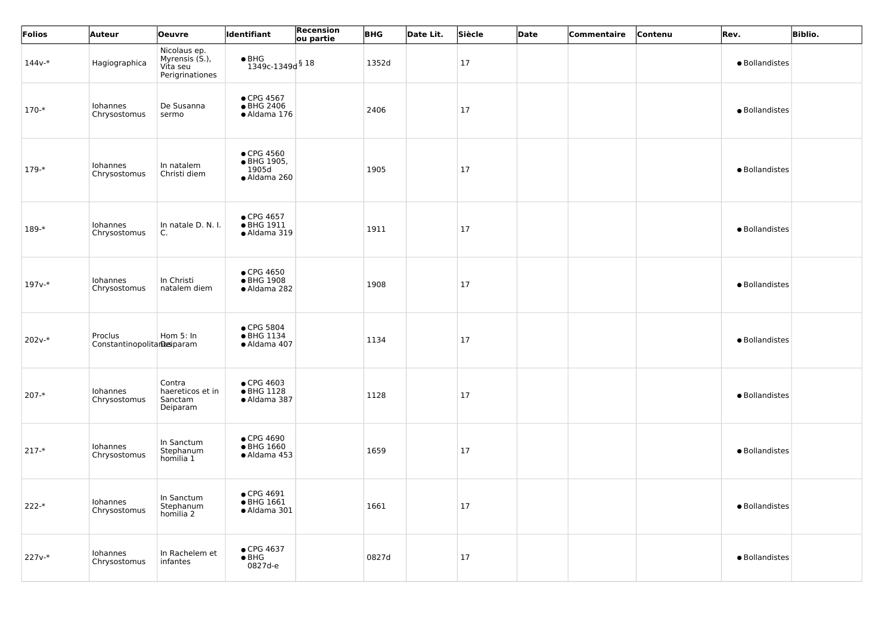| Folios              | Auteur                                | <b>Oeuvre</b>                                                 | ldentifiant                                        | Recension<br>ou partie | <b>BHG</b> | Date Lit. | Siècle | Date | Commentaire | Contenu | Rev.           | <b>Biblio.</b> |
|---------------------|---------------------------------------|---------------------------------------------------------------|----------------------------------------------------|------------------------|------------|-----------|--------|------|-------------|---------|----------------|----------------|
| $144v*$             | Hagiographica                         | Nicolaus ep.<br>Myrensis (S.),<br>Vita seu<br>Perigrinationes | $\bullet$ BHG<br>$1349c-1349d$ § 18                |                        | 1352d      |           | 17     |      |             |         | · Bollandistes |                |
| $170-*$             | Iohannes<br>Chrysostomus              | De Susanna<br>sermo                                           | • CPG 4567<br>● BHG 2406<br>· Aldama 176           |                        | 2406       |           | 17     |      |             |         | · Bollandistes |                |
| $179-*$             | Iohannes<br>Chrysostomus              | In natalem<br>Christi diem                                    | • CPG 4560<br>• BHG 1905,<br>1905d<br>· Aldama 260 |                        | 1905       |           | 17     |      |             |         | · Bollandistes |                |
| 189-*               | Iohannes<br>Chrysostomus              | In natale D. N. I.<br>C.                                      | • CPG 4657<br>• BHG 1911<br>· Aldama 319           |                        | 1911       |           | 17     |      |             |         | · Bollandistes |                |
| 197 <sub>v-</sub> * | Iohannes<br>Chrysostomus              | In Christi<br>natalem diem                                    | • CPG 4650<br>● BHG 1908<br>· Aldama 282           |                        | 1908       |           | 17     |      |             |         | · Bollandistes |                |
| $202v-*$            | Proclus<br>Constantinopolitanesiparam | Hom 5: In                                                     | ● CPG 5804<br>• BHG 1134<br>· Aldama 407           |                        | 1134       |           | 17     |      |             |         | · Bollandistes |                |
| $207 - *$           | Iohannes<br>Chrysostomus              | Contra<br>haereticos et in<br>Sanctam<br>Deiparam             | $\bullet$ CPG 4603<br>• BHG 1128<br>· Aldama 387   |                        | 1128       |           | 17     |      |             |         | · Bollandistes |                |
| $217 -$ *           | Iohannes<br>Chrysostomus              | In Sanctum<br>Stephanum<br>homilia 1                          | ● CPG 4690<br>$\bullet$ BHG 1660<br>· Aldama 453   |                        | 1659       |           | 17     |      |             |         | · Bollandistes |                |
| $222-*$             | Iohannes<br>Chrysostomus              | In Sanctum<br>Stephanum<br>homilia 2                          | $\bullet$ CPG 4691<br>• BHG 1661<br>· Aldama 301   |                        | 1661       |           | 17     |      |             |         | · Bollandistes |                |
| $227v-*$            | Iohannes<br>Chrysostomus              | In Rachelem et<br>infantes                                    | • CPG 4637<br>$\bullet$ BHG<br>0827d-e             |                        | 0827d      |           | 17     |      |             |         | · Bollandistes |                |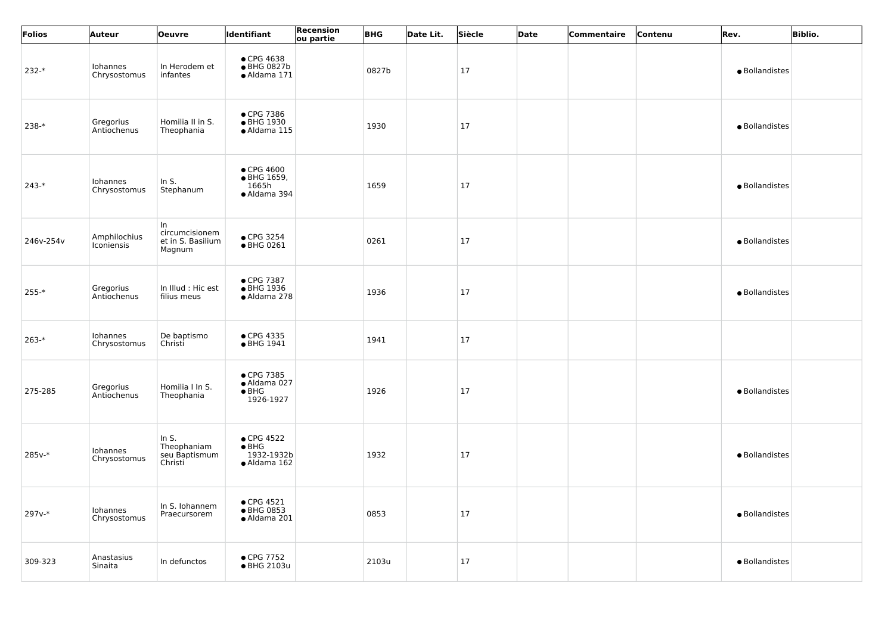| Folios    | <b>Auteur</b>              | Oeuvre                                              | ldentifiant                                                       | Recension<br>ou partie | <b>BHG</b> | Date Lit. | Siècle | Date | Commentaire | Contenu | Rev.           | <b>Biblio.</b> |
|-----------|----------------------------|-----------------------------------------------------|-------------------------------------------------------------------|------------------------|------------|-----------|--------|------|-------------|---------|----------------|----------------|
| $232-*$   | Iohannes<br>Chrysostomus   | In Herodem et<br>infantes                           | • CPG 4638<br>● BHG 0827b<br>· Aldama 171                         |                        | 0827b      |           | 17     |      |             |         | · Bollandistes |                |
| $238-*$   | Gregorius<br>Antiochenus   | Homilia II in S.<br>Theophania                      | • CPG 7386<br>● BHG 1930<br>· Aldama 115                          |                        | 1930       |           | 17     |      |             |         | · Bollandistes |                |
| $243-*$   | Iohannes<br>Chrysostomus   | In $S$ .<br>Stephanum                               | $\bullet$ CPG 4600<br>• BHG 1659,<br>1665h<br>· Aldama 394        |                        | 1659       |           | 17     |      |             |         | · Bollandistes |                |
| 246v-254v | Amphilochius<br>Iconiensis | In<br>circumcisionem<br>et in S. Basilium<br>Magnum | $\bullet$ CPG 3254<br>• BHG 0261                                  |                        | 0261       |           | 17     |      |             |         | · Bollandistes |                |
| $255 -$ * | Gregorius<br>Antiochenus   | In Illud : Hic est<br>filius meus                   | • CPG 7387<br>• BHG 1936<br>• Aldama 278                          |                        | 1936       |           | 17     |      |             |         | · Bollandistes |                |
| $263-*$   | Iohannes<br>Chrysostomus   | De baptismo<br>Christi                              | • CPG 4335<br>• BHG 1941                                          |                        | 1941       |           | 17     |      |             |         |                |                |
| 275-285   | Gregorius<br>Antiochenus   | Homilia I In S.<br>Theophania                       | • CPG 7385<br>· Aldama 027<br>$\bullet$ BHG<br>1926-1927          |                        | 1926       |           | 17     |      |             |         | · Bollandistes |                |
| 285v-*    | Iohannes<br>Chrysostomus   | In $S$ .<br>Theophaniam<br>seu Baptismum<br>Christi | $\bullet$ CPG 4522<br>$\bullet$ BHG<br>1932-1932b<br>• Aldama 162 |                        | 1932       |           | 17     |      |             |         | · Bollandistes |                |
| 297v-*    | Iohannes<br>Chrysostomus   | In S. Iohannem<br>Praecursorem                      | $\bullet$ CPG 4521<br>• BHG 0853<br>· Aldama 201                  |                        | 0853       |           | 17     |      |             |         | · Bollandistes |                |
| 309-323   | Anastasius<br>Sinaita      | In defunctos                                        | $\bullet$ CPG 7752<br>• BHG 2103u                                 |                        | 2103u      |           | 17     |      |             |         | · Bollandistes |                |